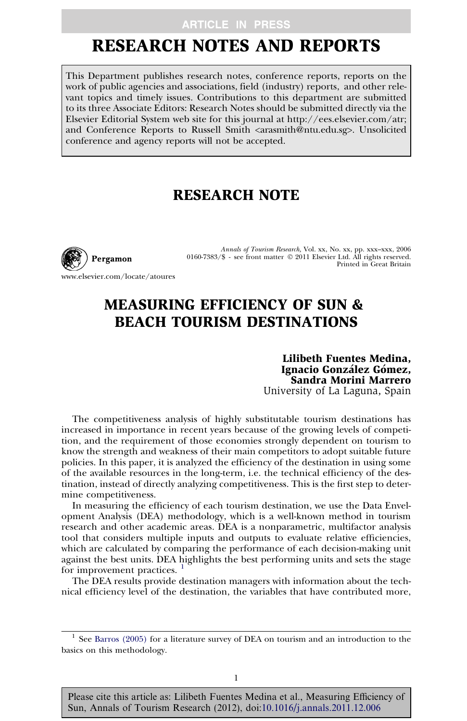## **ARTICLE IN PRESS**

# RESEARCH NOTES AND REPORTS

This Department publishes research notes, conference reports, reports on the work of public agencies and associations, field (industry) reports, and other relevant topics and timely issues. Contributions to this department are submitted to its three Associate Editors: Research Notes should be submitted directly via the Elsevier Editorial System web site for this journal at http://ees.elsevier.com/atr; and Conference Reports to Russell Smith <arasmith@ntu.edu.sg>. Unsolicited conference and agency reports will not be accepted.

## RESEARCH NOTE



Annals of Tourism Research, Vol. xx, No. xx, pp. xxx–xxx, 2006 0160-7383/\$ - see front matter © 2011 Elsevier Ltd. All rights reserved. Printed in Great Britain

www.elsevier.com/locate/atoures

# MEASURING EFFICIENCY OF SUN & BEACH TOURISM DESTINATIONS

Lilibeth Fuentes Medina, Ignacio González Gómez, Sandra Morini Marrero University of La Laguna, Spain

The competitiveness analysis of highly substitutable tourism destinations has increased in importance in recent years because of the growing levels of competition, and the requirement of those economies strongly dependent on tourism to know the strength and weakness of their main competitors to adopt suitable future policies. In this paper, it is analyzed the efficiency of the destination in using some of the available resources in the long-term, i.e. the technical efficiency of the destination, instead of directly analyzing competitiveness. This is the first step to determine competitiveness.

In measuring the efficiency of each tourism destination, we use the Data Envelopment Analysis (DEA) methodology, which is a well-known method in tourism research and other academic areas. DEA is a nonparametric, multifactor analysis tool that considers multiple inputs and outputs to evaluate relative efficiencies, which are calculated by comparing the performance of each decision-making unit against the best units. DEA highlights the best performing units and sets the stage for improvement practices. <sup>1</sup>

The DEA results provide destination managers with information about the technical efficiency level of the destination, the variables that have contributed more,

Please cite this article as: Lilibeth Fuentes Medina et al., Measuring Efficiency of Sun, Annals of Tourism Research (2012), doi:[10.1016/j.annals.2011.12.006](http://dx.doi.org/10.1016/j.annals.2011.12.006)

 $^{\rm 1}$  See [Barros \(2005\)](#page-3-0) for a literature survey of DEA on tourism and an introduction to the basics on this methodology.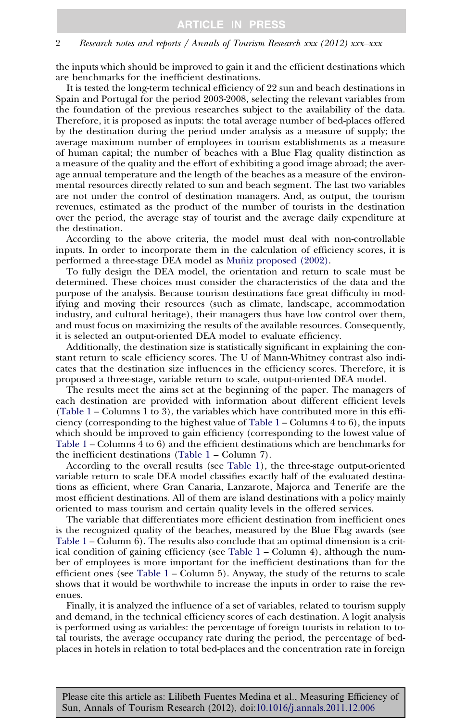#### 2 Research notes and reports / Annals of Tourism Research xxx (2012) xxx–xxx

the inputs which should be improved to gain it and the efficient destinations which are benchmarks for the inefficient destinations.

It is tested the long-term technical efficiency of 22 sun and beach destinations in Spain and Portugal for the period 2003-2008, selecting the relevant variables from the foundation of the previous researches subject to the availability of the data. Therefore, it is proposed as inputs: the total average number of bed-places offered by the destination during the period under analysis as a measure of supply; the average maximum number of employees in tourism establishments as a measure of human capital; the number of beaches with a Blue Flag quality distinction as a measure of the quality and the effort of exhibiting a good image abroad; the average annual temperature and the length of the beaches as a measure of the environmental resources directly related to sun and beach segment. The last two variables are not under the control of destination managers. And, as output, the tourism revenues, estimated as the product of the number of tourists in the destination over the period, the average stay of tourist and the average daily expenditure at the destination.

According to the above criteria, the model must deal with non-controllable inputs. In order to incorporate them in the calculation of efficiency scores, it is performed a three-stage DEA model as Muñiz proposed (2002).

To fully design the DEA model, the orientation and return to scale must be determined. These choices must consider the characteristics of the data and the purpose of the analysis. Because tourism destinations face great difficulty in modifying and moving their resources (such as climate, landscape, accommodation industry, and cultural heritage), their managers thus have low control over them, and must focus on maximizing the results of the available resources. Consequently, it is selected an output-oriented DEA model to evaluate efficiency.

Additionally, the destination size is statistically significant in explaining the constant return to scale efficiency scores. The U of Mann-Whitney contrast also indicates that the destination size influences in the efficiency scores. Therefore, it is proposed a three-stage, variable return to scale, output-oriented DEA model.

The results meet the aims set at the beginning of the paper. The managers of each destination are provided with information about different efficient levels [\(Table 1](#page-2-0) – Columns 1 to 3), the variables which have contributed more in this efficiency (corresponding to the highest value of [Table 1](#page-2-0) – Columns 4 to 6), the inputs which should be improved to gain efficiency (corresponding to the lowest value of [Table 1](#page-2-0) – Columns 4 to 6) and the efficient destinations which are benchmarks for the inefficient destinations [\(Table 1](#page-2-0) – Column 7).

According to the overall results (see [Table 1](#page-2-0)), the three-stage output-oriented variable return to scale DEA model classifies exactly half of the evaluated destinations as efficient, where Gran Canaria, Lanzarote, Majorca and Tenerife are the most efficient destinations. All of them are island destinations with a policy mainly oriented to mass tourism and certain quality levels in the offered services.

The variable that differentiates more efficient destination from inefficient ones is the recognized quality of the beaches, measured by the Blue Flag awards (see [Table 1](#page-2-0) – Column 6). The results also conclude that an optimal dimension is a critical condition of gaining efficiency (see [Table 1](#page-2-0) – Column 4), although the number of employees is more important for the inefficient destinations than for the efficient ones (see Table  $1 -$  Column 5). Anyway, the study of the returns to scale shows that it would be worthwhile to increase the inputs in order to raise the revenues.

Finally, it is analyzed the influence of a set of variables, related to tourism supply and demand, in the technical efficiency scores of each destination. A logit analysis is performed using as variables: the percentage of foreign tourists in relation to total tourists, the average occupancy rate during the period, the percentage of bedplaces in hotels in relation to total bed-places and the concentration rate in foreign

Please cite this article as: Lilibeth Fuentes Medina et al., Measuring Efficiency of Sun, Annals of Tourism Research (2012), doi[:10.1016/j.annals.2011.12.006](http://dx.doi.org/10.1016/j.annals.2011.12.006)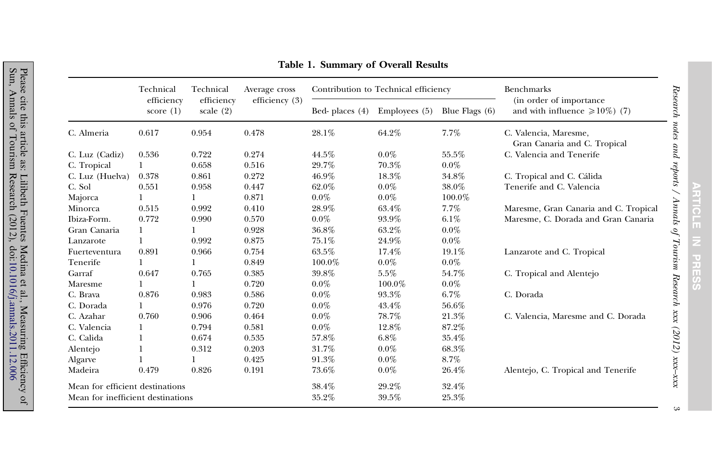<span id="page-2-0"></span>

|                                   | Technical<br>efficiency<br>score $(1)$ | Technical<br>efficiency<br>scale $(2)$ | Average cross<br>efficiency $(3)$ | Contribution to Technical efficiency |                 |                  | Benchmarks                                                    |
|-----------------------------------|----------------------------------------|----------------------------------------|-----------------------------------|--------------------------------------|-----------------|------------------|---------------------------------------------------------------|
|                                   |                                        |                                        |                                   | Bed-places (4)                       | Employees $(5)$ | Blue Flags $(6)$ | (in order of importance<br>and with influence $\geq 10\%$ (7) |
| C. Almeria                        | 0.617                                  | 0.954                                  | 0.478                             | 28.1%                                | 64.2%           | 7.7%             | C. Valencia, Maresme,<br>Gran Canaria and C. Tropical         |
| C. Luz (Cadiz)                    | 0.536                                  | 0.722                                  | 0.274                             | 44.5%                                | $0.0\%$         | 55.5%            | C. Valencia and Tenerife                                      |
| C. Tropical                       |                                        | 0.658                                  | 0.516                             | 29.7%                                | 70.3%           | $0.0\%$          |                                                               |
| C. Luz (Huelva)                   | 0.378                                  | 0.861                                  | 0.272                             | 46.9%                                | 18.3%           | 34.8%            | C. Tropical and C. Cálida                                     |
| C. Sol                            | 0.551                                  | 0.958                                  | 0.447                             | 62.0%                                | $0.0\%$         | 38.0%            | Tenerife and C. Valencia                                      |
| Majorca                           |                                        |                                        | 0.871                             | $0.0\%$                              | $0.0\%$         | $100.0\%$        |                                                               |
| Minorca                           | 0.515                                  | 0.992                                  | 0.410                             | 28.9%                                | 63.4%           | 7.7%             | Maresme, Gran Canaria and C. Tropical                         |
| Ibiza-Form.                       | 0.772                                  | 0.990                                  | 0.570                             | $0.0\%$                              | 93.9%           | 6.1%             | Maresme, C. Dorada and Gran Canaria                           |
| Gran Canaria                      | 1                                      |                                        | 0.928                             | 36.8%                                | 63.2%           | $0.0\%$          |                                                               |
| Lanzarote                         |                                        | 0.992                                  | 0.875                             | 75.1%                                | 24.9%           | $0.0\%$          |                                                               |
| Fuerteventura                     | 0.891                                  | 0.966                                  | 0.754                             | 63.5%                                | 17.4%           | $19.1\%$         | Lanzarote and C. Tropical                                     |
| Tenerife                          |                                        | 1                                      | 0.849                             | 100.0%                               | $0.0\%$         | $0.0\%$          |                                                               |
| Garraf                            | 0.647                                  | 0.765                                  | 0.385                             | 39.8%                                | 5.5%            | 54.7%            | C. Tropical and Alentejo                                      |
| Maresme                           |                                        |                                        | 0.720                             | $0.0\%$                              | $100.0\%$       | $0.0\%$          |                                                               |
| C. Brava                          | 0.876                                  | 0.983                                  | 0.586                             | $0.0\%$                              | 93.3%           | 6.7%             | C. Dorada                                                     |
| C. Dorada                         | 1                                      | 0.976                                  | 0.720                             | $0.0\%$                              | 43.4%           | 56.6%            |                                                               |
| C. Azahar                         | 0.760                                  | 0.906                                  | 0.464                             | $0.0\%$                              | 78.7%           | 21.3%            | C. Valencia, Maresme and C. Dorada                            |
| C. Valencia                       | 1                                      | 0.794                                  | 0.581                             | $0.0\%$                              | 12.8%           | 87.2%            |                                                               |
| C. Calida                         | 1                                      | 0.674                                  | 0.535                             | 57.8%                                | 6.8%            | 35.4%            |                                                               |
| Alentejo                          |                                        | 0.312                                  | 0.203                             | 31.7%                                | $0.0\%$         | 68.3%            |                                                               |
| Algarve                           |                                        |                                        | 0.425                             | 91.3%                                | $0.0\%$         | 8.7%             |                                                               |
| Madeira                           | 0.479                                  | 0.826                                  | 0.191                             | 73.6%                                | $0.0\%$         | 26.4%            | Alentejo, C. Tropical and Tenerife                            |
| Mean for efficient destinations   |                                        |                                        |                                   | 38.4%                                | 29.2%           | 32.4%            |                                                               |
| Mean for inefficient destinations |                                        |                                        |                                   | 35.2%                                | 39.5%           | 25.3%            |                                                               |

 $\infty$